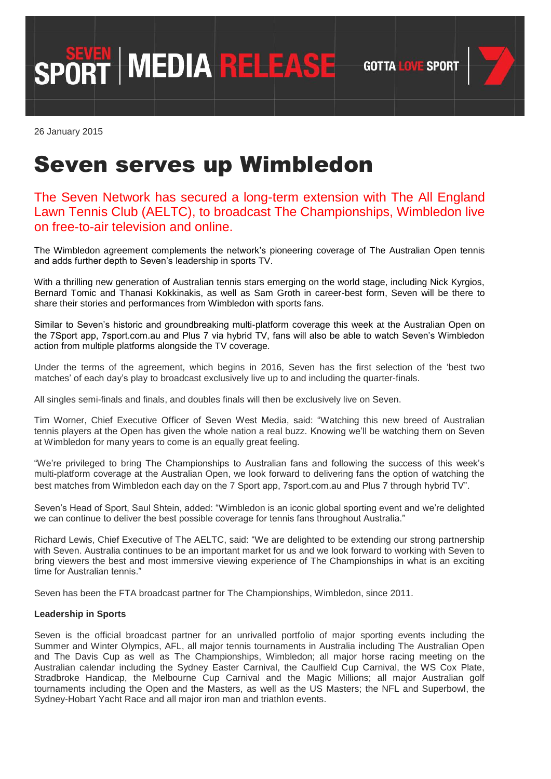**GOTTA LOVE SPORT** 



26 January 2015

## Seven serves up Wimbledon

SPORT MEDIA RELEASE

## The Seven Network has secured a long-term extension with The All England Lawn Tennis Club (AELTC), to broadcast The Championships, Wimbledon live on free-to-air television and online.

The Wimbledon agreement complements the network's pioneering coverage of The Australian Open tennis and adds further depth to Seven"s leadership in sports TV.

With a thrilling new generation of Australian tennis stars emerging on the world stage, including Nick Kyrgios, Bernard Tomic and Thanasi Kokkinakis, as well as Sam Groth in career-best form, Seven will be there to share their stories and performances from Wimbledon with sports fans.

Similar to Seven"s historic and groundbreaking multi-platform coverage this week at the Australian Open on the 7Sport app, 7sport.com.au and Plus 7 via hybrid TV, fans will also be able to watch Seven"s Wimbledon action from multiple platforms alongside the TV coverage.

Under the terms of the agreement, which begins in 2016, Seven has the first selection of the "best two matches" of each day"s play to broadcast exclusively live up to and including the quarter-finals.

All singles semi-finals and finals, and doubles finals will then be exclusively live on Seven.

Tim Worner, Chief Executive Officer of Seven West Media, said: "Watching this new breed of Australian tennis players at the Open has given the whole nation a real buzz. Knowing we"ll be watching them on Seven at Wimbledon for many years to come is an equally great feeling.

"We"re privileged to bring The Championships to Australian fans and following the success of this week"s multi-platform coverage at the Australian Open, we look forward to delivering fans the option of watching the best matches from Wimbledon each day on the 7 Sport app, 7sport.com.au and Plus 7 through hybrid TV".

Seven's Head of Sport, Saul Shtein, added: "Wimbledon is an iconic global sporting event and we're delighted we can continue to deliver the best possible coverage for tennis fans throughout Australia."

Richard Lewis, Chief Executive of The AELTC, said: "We are delighted to be extending our strong partnership with Seven. Australia continues to be an important market for us and we look forward to working with Seven to bring viewers the best and most immersive viewing experience of The Championships in what is an exciting time for Australian tennis."

Seven has been the FTA broadcast partner for The Championships, Wimbledon, since 2011.

## **Leadership in Sports**

Seven is the official broadcast partner for an unrivalled portfolio of major sporting events including the Summer and Winter Olympics, AFL, all major tennis tournaments in Australia including The Australian Open and The Davis Cup as well as The Championships, Wimbledon; all major horse racing meeting on the Australian calendar including the Sydney Easter Carnival, the Caulfield Cup Carnival, the WS Cox Plate, Stradbroke Handicap, the Melbourne Cup Carnival and the Magic Millions; all major Australian golf tournaments including the Open and the Masters, as well as the US Masters; the NFL and Superbowl, the Sydney-Hobart Yacht Race and all major iron man and triathlon events.